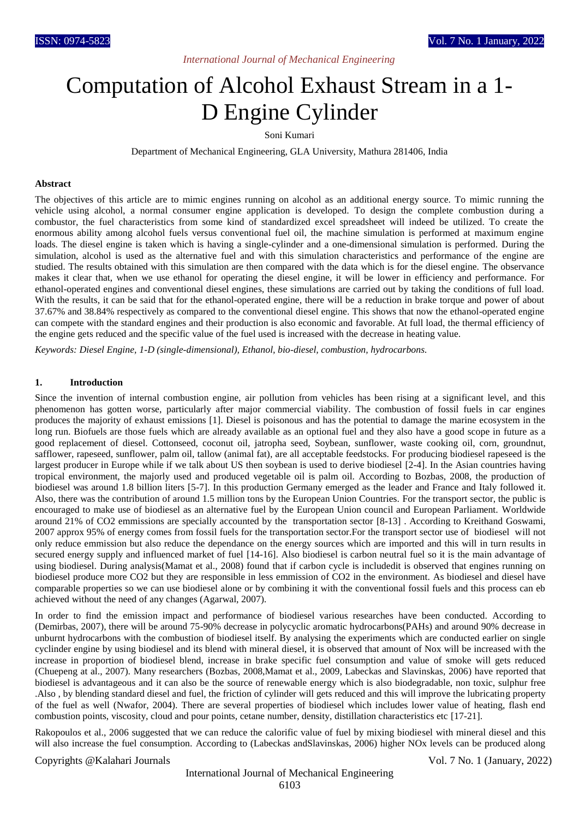# *International Journal of Mechanical Engineering*

# Computation of Alcohol Exhaust Stream in a 1- D Engine Cylinder

Soni Kumari

Department of Mechanical Engineering, GLA University, Mathura 281406, India

#### **Abstract**

The objectives of this article are to mimic engines running on alcohol as an additional energy source. To mimic running the vehicle using alcohol, a normal consumer engine application is developed. To design the complete combustion during a combustor, the fuel characteristics from some kind of standardized excel spreadsheet will indeed be utilized. To create the enormous ability among alcohol fuels versus conventional fuel oil, the machine simulation is performed at maximum engine loads. The diesel engine is taken which is having a single-cylinder and a one-dimensional simulation is performed. During the simulation, alcohol is used as the alternative fuel and with this simulation characteristics and performance of the engine are studied. The results obtained with this simulation are then compared with the data which is for the diesel engine. The observance makes it clear that, when we use ethanol for operating the diesel engine, it will be lower in efficiency and performance. For ethanol-operated engines and conventional diesel engines, these simulations are carried out by taking the conditions of full load. With the results, it can be said that for the ethanol-operated engine, there will be a reduction in brake torque and power of about 37.67% and 38.84% respectively as compared to the conventional diesel engine. This shows that now the ethanol-operated engine can compete with the standard engines and their production is also economic and favorable. At full load, the thermal efficiency of the engine gets reduced and the specific value of the fuel used is increased with the decrease in heating value.

*Keywords: Diesel Engine, 1-D (single-dimensional), Ethanol, bio-diesel, combustion, hydrocarbons.*

# **1. Introduction**

Since the invention of internal combustion engine, air pollution from vehicles has been rising at a significant level, and this phenomenon has gotten worse, particularly after major commercial viability. The combustion of fossil fuels in car engines produces the majority of exhaust emissions [1]. Diesel is poisonous and has the potential to damage the marine ecosystem in the long run. Biofuels are those fuels which are already available as an optional fuel and they also have a good scope in future as a good replacement of diesel. Cottonseed, coconut oil, jatropha seed, Soybean, sunflower, waste cooking oil, corn, groundnut, safflower, rapeseed, sunflower, palm oil, tallow (animal fat), are all acceptable feedstocks. For producing biodiesel rapeseed is the largest producer in Europe while if we talk about US then soybean is used to derive biodiesel [2-4]. In the Asian countries having tropical environment, the majorly used and produced vegetable oil is palm oil. According to Bozbas, 2008, the production of biodiesel was around 1.8 billion liters [5-7]. In this production Germany emerged as the leader and France and Italy followed it. Also, there was the contribution of around 1.5 million tons by the European Union Countries. For the transport sector, the public is encouraged to make use of biodiesel as an alternative fuel by the European Union council and European Parliament. Worldwide around 21% of CO2 emmissions are specially accounted by the transportation sector [8-13] . According to Kreithand Goswami, 2007 approx 95% of energy comes from fossil fuels for the transportation sector.For the transport sector use of biodiesel will not only reduce emmission but also reduce the dependance on the energy sources which are imported and this will in turn results in secured energy supply and influenced market of fuel [14-16]. Also biodiesel is carbon neutral fuel so it is the main advantage of using biodiesel. During analysis(Mamat et al., 2008) found that if carbon cycle is includedit is observed that engines running on biodiesel produce more CO2 but they are responsible in less emmission of CO2 in the environment. As biodiesel and diesel have comparable properties so we can use biodiesel alone or by combining it with the conventional fossil fuels and this process can eb achieved without the need of any changes (Agarwal, 2007).

In order to find the emission impact and performance of biodiesel various researches have been conducted. According to (Demirbas, 2007), there will be around 75-90% decrease in polycyclic aromatic hydrocarbons(PAHs) and around 90% decrease in unburnt hydrocarbons with the combustion of biodiesel itself. By analysing the experiments which are conducted earlier on single cyclinder engine by using biodiesel and its blend with mineral diesel, it is observed that amount of Nox will be increased with the increase in proportion of biodiesel blend, increase in brake specific fuel consumption and value of smoke will gets reduced (Chuepeng at al., 2007). Many researchers (Bozbas, 2008,Mamat et al., 2009, Labeckas and Slavinskas, 2006) have reported that biodiesel is advantageous and it can also be the source of renewable energy which is also biodegradable, non toxic, sulphur free .Also , by blending standard diesel and fuel, the friction of cylinder will gets reduced and this will improve the lubricating property of the fuel as well (Nwafor, 2004). There are several properties of biodiesel which includes lower value of heating, flash end combustion points, viscosity, cloud and pour points, cetane number, density, distillation characteristics etc [17-21].

Rakopoulos et al., 2006 suggested that we can reduce the calorific value of fuel by mixing biodiesel with mineral diesel and this will also increase the fuel consumption. According to (Labeckas andSlavinskas, 2006) higher NOx levels can be produced along

Copyrights @Kalahari Journals Vol. 7 No. 1 (January, 2022)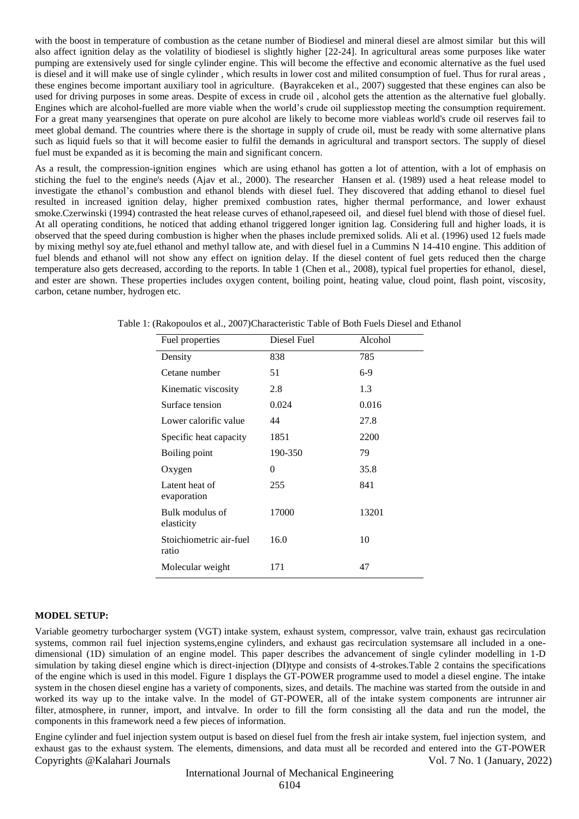with the boost in temperature of combustion as the cetane number of Biodiesel and mineral diesel are almost similar but this will also affect ignition delay as the volatility of biodiesel is slightly higher [22-24]. In agricultural areas some purposes like water pumping are extensively used for single cylinder engine. This will become the effective and economic alternative as the fuel used is diesel and it will make use of single cylinder , which results in lower cost and milited consumption of fuel. Thus for rural areas , these engines become important auxiliary tool in agriculture. (Bayrakceken et al., 2007) suggested that these engines can also be used for driving purposes in some areas. Despite of excess in crude oil , alcohol gets the attention as the alternative fuel globally. Engines which are alcohol-fuelled are more viable when the world's crude oil suppliesstop meeting the consumption requirement. For a great many yearsengines that operate on pure alcohol are likely to become more viableas world's crude oil reserves fail to meet global demand. The countries where there is the shortage in supply of crude oil, must be ready with some alternative plans such as liquid fuels so that it will become easier to fulfil the demands in agricultural and transport sectors. The supply of diesel fuel must be expanded as it is becoming the main and significant concern.

As a result, the compression-ignition engines which are using ethanol has gotten a lot of attention, with a lot of emphasis on stiching the fuel to the engine's needs (Ajav et al., 2000). The researcher Hansen et al. (1989) used a heat release model to investigate the ethanol's combustion and ethanol blends with diesel fuel. They discovered that adding ethanol to diesel fuel resulted in increased ignition delay, higher premixed combustion rates, higher thermal performance, and lower exhaust smoke.Czerwinski (1994) contrasted the heat release curves of ethanol,rapeseed oil, and diesel fuel blend with those of diesel fuel. At all operating conditions, he noticed that adding ethanol triggered longer ignition lag. Considering full and higher loads, it is observed that the speed during combustion is higher when the phases include premixed solids. Ali et al. (1996) used 12 fuels made by mixing methyl soy ate,fuel ethanol and methyl tallow ate, and with diesel fuel in a Cummins N 14-410 engine. This addition of fuel blends and ethanol will not show any effect on ignition delay. If the diesel content of fuel gets reduced then the charge temperature also gets decreased, according to the reports. In table 1 (Chen et al., 2008), typical fuel properties for ethanol, diesel, and ester are shown. These properties includes oxygen content, boiling point, heating value, cloud point, flash point, viscosity, carbon, cetane number, hydrogen etc.

| Fuel properties                  | Diesel Fuel | Alcohol |
|----------------------------------|-------------|---------|
| Density                          | 838         | 785     |
| Cetane number                    | 51          | $6-9$   |
| Kinematic viscosity              | 2.8         | 1.3     |
| Surface tension                  | 0.024       | 0.016   |
| Lower calorific value            | 44          | 27.8    |
| Specific heat capacity           | 1851        | 2200    |
| Boiling point                    | 190-350     | 79      |
| Oxygen                           | $\theta$    | 35.8    |
| Latent heat of<br>evaporation    | 255         | 841     |
| Bulk modulus of<br>elasticity    | 17000       | 13201   |
| Stoichiometric air-fuel<br>ratio | 16.0        | 10      |
| Molecular weight                 | 171         | 47      |

Table 1: (Rakopoulos et al., 2007)Characteristic Table of Both Fuels Diesel and Ethanol

#### **MODEL SETUP:**

Variable geometry turbocharger system (VGT) intake system, exhaust system, compressor, valve train, exhaust gas recirculation systems, common rail fuel injection systems,engine cylinders, and exhaust gas recirculation systemsare all included in a onedimensional (1D) simulation of an engine model. This paper describes the advancement of single cylinder modelling in 1-D simulation by taking diesel engine which is direct-injection (DI)type and consists of 4-strokes.Table 2 contains the specifications of the engine which is used in this model. Figure 1 displays the GT-POWER programme used to model a diesel engine. The intake system in the chosen diesel engine has a variety of components, sizes, and details. The machine was started from the outside in and worked its way up to the intake valve. In the model of GT-POWER, all of the intake system components are intrunner air filter, atmosphere, in runner, import, and intvalve. In order to fill the form consisting all the data and run the model, the components in this framework need a few pieces of information.

Copyrights @Kalahari Journals Vol. 7 No. 1 (January, 2022) Engine cylinder and fuel injection system output is based on diesel fuel from the fresh air intake system, fuel injection system, and exhaust gas to the exhaust system. The elements, dimensions, and data must all be recorded and entered into the GT-POWER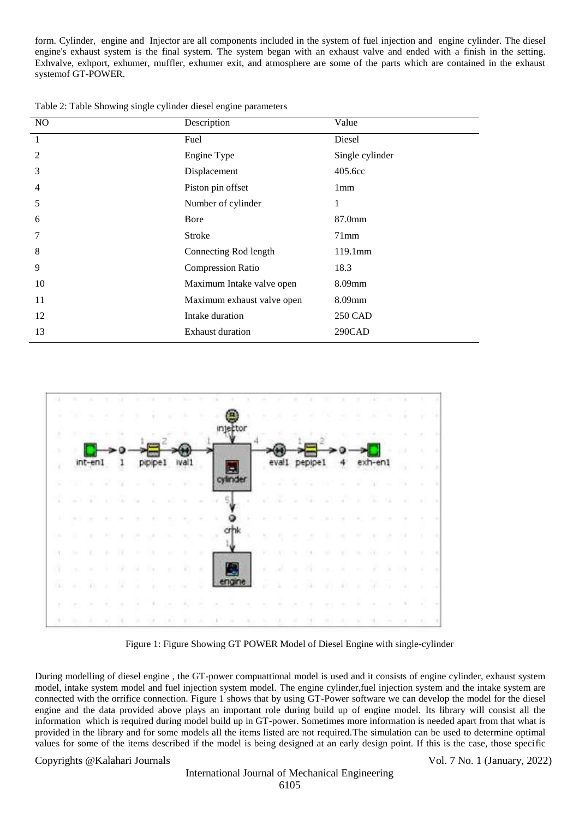form. Cylinder, engine and Injector are all components included in the system of fuel injection and engine cylinder. The diesel engine's exhaust system is the final system. The system began with an exhaust valve and ended with a finish in the setting. Exhvalve, exhport, exhumer, muffler, exhumer exit, and atmosphere are some of the parts which are contained in the exhaust systemof GT-POWER.

Table 2: Table Showing single cylinder diesel engine parameters

| NO | Description                | Value           |
|----|----------------------------|-----------------|
| 1  | Fuel                       | Diesel          |
| 2  | Engine Type                | Single cylinder |
| 3  | Displacement               | 405.6cc         |
| 4  | Piston pin offset          | 1 <sub>mm</sub> |
| 5  | Number of cylinder         | 1               |
| 6  | Bore                       | 87.0mm          |
| 7  | Stroke                     | $71$ mm         |
| 8  | Connecting Rod length      | 119.1mm         |
| 9  | <b>Compression Ratio</b>   | 18.3            |
| 10 | Maximum Intake valve open  | 8.09mm          |
| 11 | Maximum exhaust valve open | 8.09mm          |
| 12 | Intake duration            | 250 CAD         |
| 13 | <b>Exhaust duration</b>    | 290CAD          |



Figure 1: Figure Showing GT POWER Model of Diesel Engine with single-cylinder

During modelling of diesel engine , the GT-power compuattional model is used and it consists of engine cylinder, exhaust system model, intake system model and fuel injection system model. The engine cylinder,fuel injection system and the intake system are connected with the orrifice connection. Figure 1 shows that by using GT-Power software we can develop the model for the diesel engine and the data provided above plays an important role during build up of engine model. Its library will consist all the information which is required during model build up in GT-power. Sometimes more information is needed apart from that what is provided in the library and for some models all the items listed are not required.The simulation can be used to determine optimal values for some of the items described if the model is being designed at an early design point. If this is the case, those specific

Copyrights @Kalahari Journals Vol. 7 No. 1 (January, 2022)

# International Journal of Mechanical Engineering 6105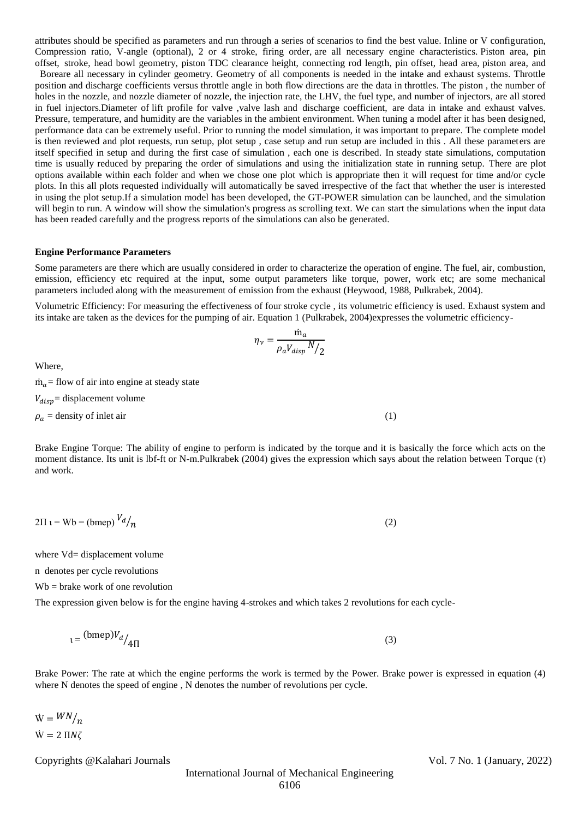attributes should be specified as parameters and run through a series of scenarios to find the best value. Inline or V configuration, Compression ratio, V-angle (optional), 2 or 4 stroke, firing order, are all necessary engine characteristics. Piston area, pin offset, stroke, head bowl geometry, piston TDC clearance height, connecting rod length, pin offset, head area, piston area, and

 Boreare all necessary in cylinder geometry. Geometry of all components is needed in the intake and exhaust systems. Throttle position and discharge coefficients versus throttle angle in both flow directions are the data in throttles. The piston , the number of holes in the nozzle, and nozzle diameter of nozzle, the injection rate, the LHV, the fuel type, and number of injectors, are all stored in fuel injectors.Diameter of lift profile for valve ,valve lash and discharge coefficient, are data in intake and exhaust valves. Pressure, temperature, and humidity are the variables in the ambient environment. When tuning a model after it has been designed, performance data can be extremely useful. Prior to running the model simulation, it was important to prepare. The complete model is then reviewed and plot requests, run setup, plot setup , case setup and run setup are included in this . All these parameters are itself specified in setup and during the first case of simulation , each one is described. In steady state simulations, computation time is usually reduced by preparing the order of simulations and using the initialization state in running setup. There are plot options available within each folder and when we chose one plot which is appropriate then it will request for time and/or cycle plots. In this all plots requested individually will automatically be saved irrespective of the fact that whether the user is interested in using the plot setup.If a simulation model has been developed, the GT-POWER simulation can be launched, and the simulation will begin to run. A window will show the simulation's progress as scrolling text. We can start the simulations when the input data has been readed carefully and the progress reports of the simulations can also be generated.

#### **Engine Performance Parameters**

Some parameters are there which are usually considered in order to characterize the operation of engine. The fuel, air, combustion, emission, efficiency etc required at the input, some output parameters like torque, power, work etc; are some mechanical parameters included along with the measurement of emission from the exhaust (Heywood, 1988, Pulkrabek, 2004).

Volumetric Efficiency: For measuring the effectiveness of four stroke cycle , its volumetric efficiency is used. Exhaust system and its intake are taken as the devices for the pumping of air. Equation 1 (Pulkrabek, 2004)expresses the volumetric efficiency-

$$
\eta_{\nu}=\frac{\dot{m}_a}{\rho_a V_{disp}\,N\big/2}
$$

Where,

 $\dot{m}_q$  = flow of air into engine at steady state  $V_{disp}$  = displacement volume  $\rho_a$  = density of inlet air (1)

Brake Engine Torque: The ability of engine to perform is indicated by the torque and it is basically the force which acts on the moment distance. Its unit is lbf-ft or N-m.Pulkrabek (2004) gives the expression which says about the relation between Torque (τ) and work.

$$
2\Pi \mathbf{1} = \mathbf{Wb} = (\text{bmep}) \frac{V_d}{n} \tag{2}
$$

where Vd= displacement volume

n denotes per cycle revolutions

Wb = brake work of one revolution

The expression given below is for the engine having 4-strokes and which takes 2 revolutions for each cycle-

$$
t = \frac{\text{(bmep)}V_d}{4\Pi} \tag{3}
$$

Brake Power: The rate at which the engine performs the work is termed by the Power. Brake power is expressed in equation (4) where N denotes the speed of engine , N denotes the number of revolutions per cycle.

 $\dot{\mathbf{W}} = \frac{WN}{n}$  $W = 2 \Pi N \zeta$ 

Copyrights @Kalahari Journals Vol. 7 No. 1 (January, 2022)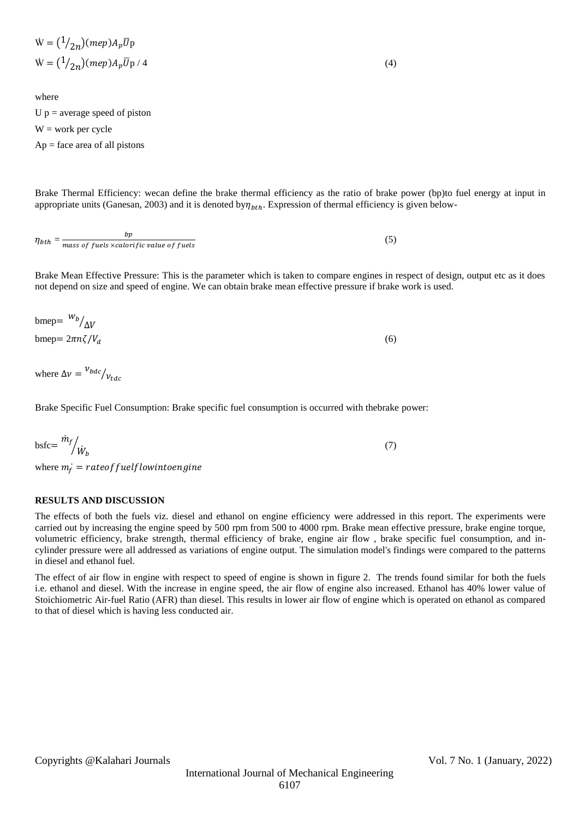$$
\dot{W} = \left(\frac{1}{2n}\right)(mep)A_p \overline{U}p
$$
\n
$$
\dot{W} = \left(\frac{1}{2n}\right)(mep)A_p \overline{U}p / 4
$$
\n(4)

where U  $p =$  average speed of piston  $W = work per cycle$  $Ap = face$  area of all pistons

Brake Thermal Efficiency: wecan define the brake thermal efficiency as the ratio of brake power (bp)to fuel energy at input in appropriate units (Ganesan, 2003) and it is denoted by $\eta_{bth}$ . Expression of thermal efficiency is given below-

 $\eta_{bth} = \frac{\nu_p}{mass~of~fuels~xcalorific~value~of~fuels}$  $bp$ (5)

Brake Mean Effective Pressure: This is the parameter which is taken to compare engines in respect of design, output etc as it does not depend on size and speed of engine. We can obtain brake mean effective pressure if brake work is used.

| bmep= $\frac{W_b}{\Delta V}$ |     |
|------------------------------|-----|
| bmep= $2\pi n\zeta/V_d$      | (6) |

where  $\Delta v = \frac{v_{bdc}}{v_{tdc}}$ 

Brake Specific Fuel Consumption: Brake specific fuel consumption is occurred with thebrake power:

$$
bstc = \frac{\dot{m}_f}{\dot{W}_b} \tag{7}
$$

where  $m_f$  = rateof fuelf lowinto engine

# **RESULTS AND DISCUSSION**

The effects of both the fuels viz. diesel and ethanol on engine efficiency were addressed in this report. The experiments were carried out by increasing the engine speed by 500 rpm from 500 to 4000 rpm. Brake mean effective pressure, brake engine torque, volumetric efficiency, brake strength, thermal efficiency of brake, engine air flow , brake specific fuel consumption, and incylinder pressure were all addressed as variations of engine output. The simulation model's findings were compared to the patterns in diesel and ethanol fuel.

The effect of air flow in engine with respect to speed of engine is shown in figure 2. The trends found similar for both the fuels i.e. ethanol and diesel. With the increase in engine speed, the air flow of engine also increased. Ethanol has 40% lower value of Stoichiometric Air-fuel Ratio (AFR) than diesel. This results in lower air flow of engine which is operated on ethanol as compared to that of diesel which is having less conducted air.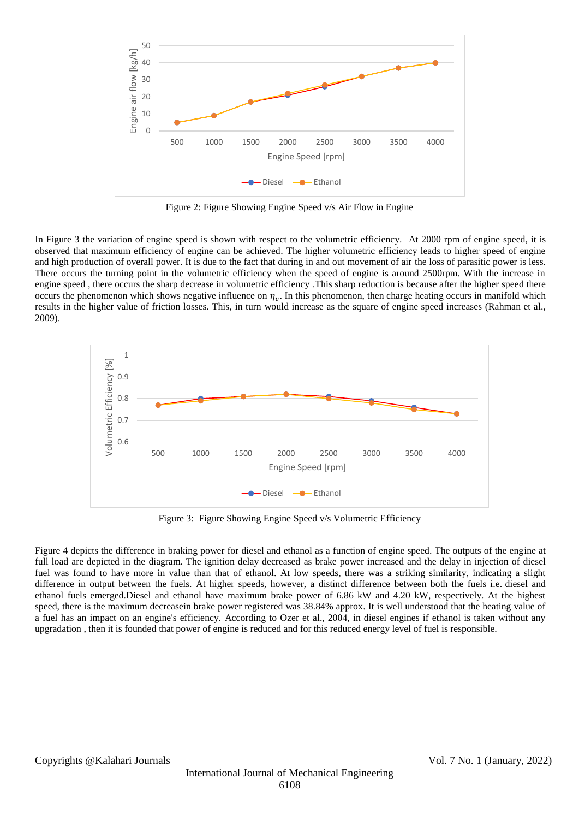

Figure 2: Figure Showing Engine Speed v/s Air Flow in Engine

In Figure 3 the variation of engine speed is shown with respect to the volumetric efficiency. At 2000 rpm of engine speed, it is observed that maximum efficiency of engine can be achieved. The higher volumetric efficiency leads to higher speed of engine and high production of overall power. It is due to the fact that during in and out movement of air the loss of parasitic power is less. There occurs the turning point in the volumetric efficiency when the speed of engine is around 2500rpm. With the increase in engine speed , there occurs the sharp decrease in volumetric efficiency .This sharp reduction is because after the higher speed there occurs the phenomenon which shows negative influence on  $\eta_v$ . In this phenomenon, then charge heating occurs in manifold which results in the higher value of friction losses. This, in turn would increase as the square of engine speed increases (Rahman et al., 2009).



Figure 3: Figure Showing Engine Speed v/s Volumetric Efficiency

Figure 4 depicts the difference in braking power for diesel and ethanol as a function of engine speed. The outputs of the engine at full load are depicted in the diagram. The ignition delay decreased as brake power increased and the delay in injection of diesel fuel was found to have more in value than that of ethanol. At low speeds, there was a striking similarity, indicating a slight difference in output between the fuels. At higher speeds, however, a distinct difference between both the fuels i.e. diesel and ethanol fuels emerged.Diesel and ethanol have maximum brake power of 6.86 kW and 4.20 kW, respectively. At the highest speed, there is the maximum decreasein brake power registered was 38.84% approx. It is well understood that the heating value of a fuel has an impact on an engine's efficiency. According to Ozer et al., 2004, in diesel engines if ethanol is taken without any upgradation , then it is founded that power of engine is reduced and for this reduced energy level of fuel is responsible.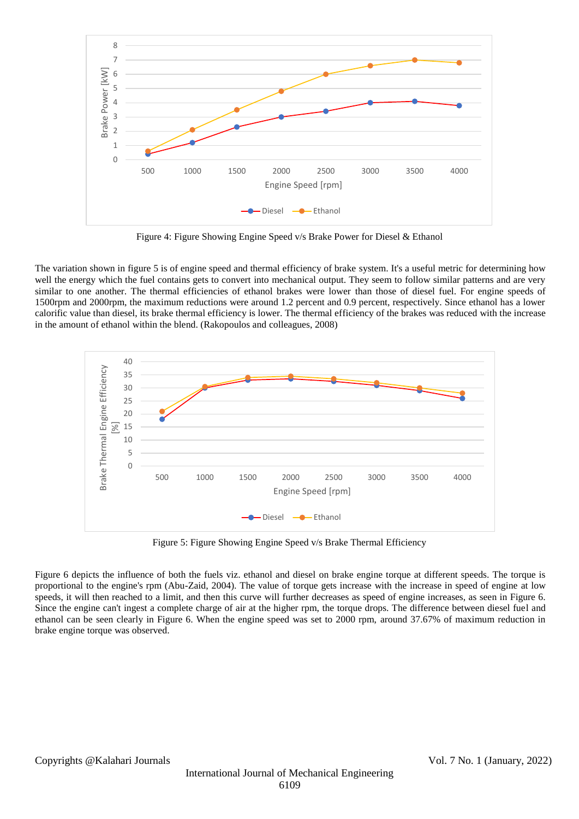

Figure 4: Figure Showing Engine Speed v/s Brake Power for Diesel & Ethanol

The variation shown in figure 5 is of engine speed and thermal efficiency of brake system. It's a useful metric for determining how well the energy which the fuel contains gets to convert into mechanical output. They seem to follow similar patterns and are very similar to one another. The thermal efficiencies of ethanol brakes were lower than those of diesel fuel. For engine speeds of 1500rpm and 2000rpm, the maximum reductions were around 1.2 percent and 0.9 percent, respectively. Since ethanol has a lower calorific value than diesel, its brake thermal efficiency is lower. The thermal efficiency of the brakes was reduced with the increase in the amount of ethanol within the blend. (Rakopoulos and colleagues, 2008)



Figure 5: Figure Showing Engine Speed v/s Brake Thermal Efficiency

Figure 6 depicts the influence of both the fuels viz. ethanol and diesel on brake engine torque at different speeds. The torque is proportional to the engine's rpm (Abu-Zaid, 2004). The value of torque gets increase with the increase in speed of engine at low speeds, it will then reached to a limit, and then this curve will further decreases as speed of engine increases, as seen in Figure 6. Since the engine can't ingest a complete charge of air at the higher rpm, the torque drops. The difference between diesel fuel and ethanol can be seen clearly in Figure 6. When the engine speed was set to 2000 rpm, around 37.67% of maximum reduction in brake engine torque was observed.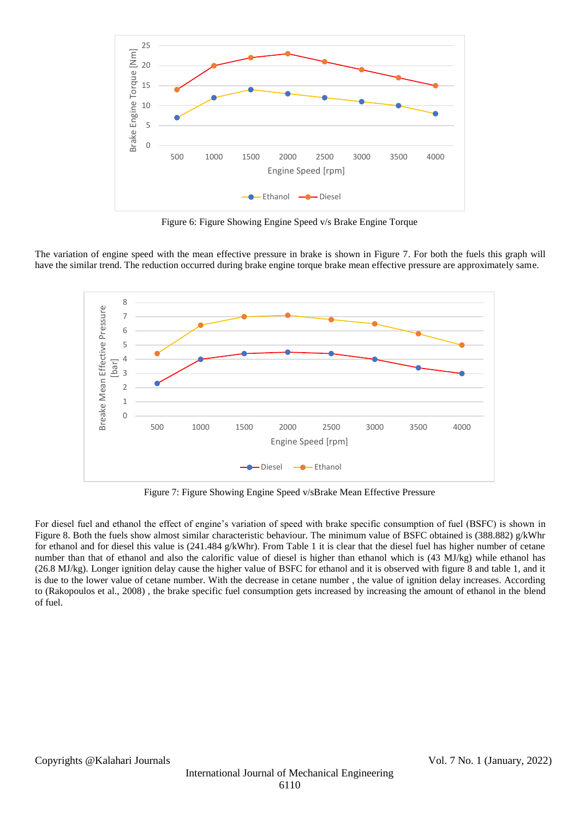

Figure 6: Figure Showing Engine Speed v/s Brake Engine Torque

The variation of engine speed with the mean effective pressure in brake is shown in Figure 7. For both the fuels this graph will have the similar trend. The reduction occurred during brake engine torque brake mean effective pressure are approximately same.



Figure 7: Figure Showing Engine Speed v/sBrake Mean Effective Pressure

For diesel fuel and ethanol the effect of engine's variation of speed with brake specific consumption of fuel (BSFC) is shown in Figure 8. Both the fuels show almost similar characteristic behaviour. The minimum value of BSFC obtained is (388.882) g/kWhr for ethanol and for diesel this value is (241.484 g/kWhr). From Table 1 it is clear that the diesel fuel has higher number of cetane number than that of ethanol and also the calorific value of diesel is higher than ethanol which is (43 MJ/kg) while ethanol has (26.8 MJ/kg). Longer ignition delay cause the higher value of BSFC for ethanol and it is observed with figure 8 and table 1, and it is due to the lower value of cetane number. With the decrease in cetane number , the value of ignition delay increases. According to (Rakopoulos et al., 2008) , the brake specific fuel consumption gets increased by increasing the amount of ethanol in the blend of fuel.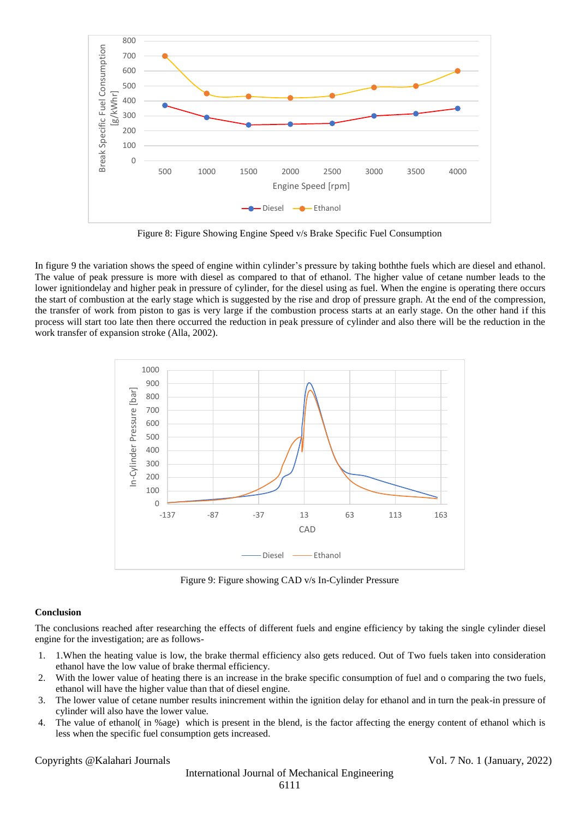

Figure 8: Figure Showing Engine Speed v/s Brake Specific Fuel Consumption

In figure 9 the variation shows the speed of engine within cylinder's pressure by taking boththe fuels which are diesel and ethanol. The value of peak pressure is more with diesel as compared to that of ethanol. The higher value of cetane number leads to the lower ignitiondelay and higher peak in pressure of cylinder, for the diesel using as fuel. When the engine is operating there occurs the start of combustion at the early stage which is suggested by the rise and drop of pressure graph. At the end of the compression, the transfer of work from piston to gas is very large if the combustion process starts at an early stage. On the other hand if this process will start too late then there occurred the reduction in peak pressure of cylinder and also there will be the reduction in the work transfer of expansion stroke (Alla, 2002).



Figure 9: Figure showing CAD v/s In-Cylinder Pressure

# **Conclusion**

The conclusions reached after researching the effects of different fuels and engine efficiency by taking the single cylinder diesel engine for the investigation; are as follows-

- 1. 1.When the heating value is low, the brake thermal efficiency also gets reduced. Out of Two fuels taken into consideration ethanol have the low value of brake thermal efficiency.
- 2. With the lower value of heating there is an increase in the brake specific consumption of fuel and o comparing the two fuels, ethanol will have the higher value than that of diesel engine.
- 3. The lower value of cetane number results inincrement within the ignition delay for ethanol and in turn the peak-in pressure of cylinder will also have the lower value.
- 4. The value of ethanol( in %age) which is present in the blend, is the factor affecting the energy content of ethanol which is less when the specific fuel consumption gets increased.

# Copyrights @Kalahari Journals Vol. 7 No. 1 (January, 2022)